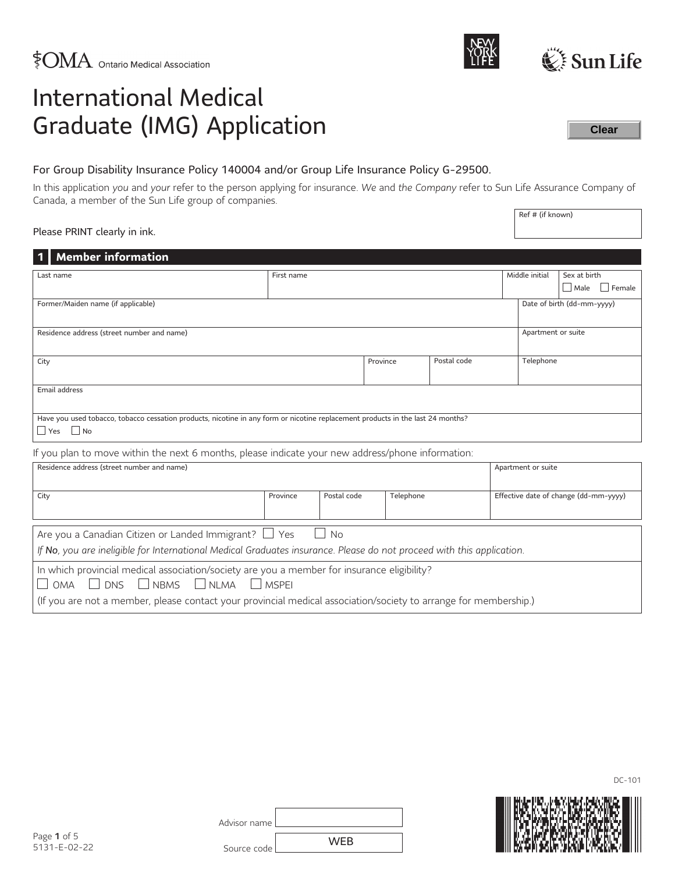| Advisor name |            |
|--------------|------------|
| Source code  | <b>WEB</b> |

# For Group Disability Insurance Policy 140004 and/or Group Life Insurance Policy G-29500.

In this application *you* and *your* refer to the person applying for insurance. *We* and *the Company* refer to Sun Life Assurance Company of Canada, a member of the Sun Life group of companies.

#### Please PRINT clearly in ink.

| <b>Member information</b>                                                                                                                               |             |  |          |             |  |           |  |               |
|---------------------------------------------------------------------------------------------------------------------------------------------------------|-------------|--|----------|-------------|--|-----------|--|---------------|
| Middle initial<br>Sex at birth<br>First name<br>Last name                                                                                               |             |  |          |             |  |           |  |               |
|                                                                                                                                                         | $\Box$ Male |  |          |             |  |           |  | $\Box$ Female |
| Date of birth (dd-mm-yyyy)<br>Former/Maiden name (if applicable)                                                                                        |             |  |          |             |  |           |  |               |
|                                                                                                                                                         |             |  |          |             |  |           |  |               |
| Residence address (street number and name)<br>Apartment or suite                                                                                        |             |  |          |             |  |           |  |               |
| City                                                                                                                                                    |             |  | Province | Postal code |  | Telephone |  |               |
| Email address                                                                                                                                           |             |  |          |             |  |           |  |               |
| Have you used tobacco, tobacco cessation products, nicotine in any form or nicotine replacement products in the last 24 months?<br>$\Box$ Yes $\Box$ No |             |  |          |             |  |           |  |               |
| If you plan to move within the next 6 months, please indicate your new address/phone information:                                                       |             |  |          |             |  |           |  |               |
| Residence address (street number and name)<br>Apartment or suite                                                                                        |             |  |          |             |  |           |  |               |
| Effective date of change (dd-mm-yyyy)<br>Postal code<br>Telephone<br>City<br>Province                                                                   |             |  |          |             |  |           |  |               |
| <b>No</b><br>Are you a Canadian Citizen or Landed Immigrant? $\Box$ Yes<br>$\mathbf{I}$                                                                 |             |  |          |             |  |           |  |               |
| If No, you are ineligible for International Medical Graduates insurance. Please do not proceed with this application.                                   |             |  |          |             |  |           |  |               |
| In which provincial medical association/society are you a member for insurance eligibility?<br>DNS NBMS<br>$\Box$ NLMA $\Box$ MSPEI<br><b>OMA</b>       |             |  |          |             |  |           |  |               |
| (If you are not a member, please contact your provincial medical association/society to arrange for membership.)                                        |             |  |          |             |  |           |  |               |



**Clear**

Ref # (if known)





DC-101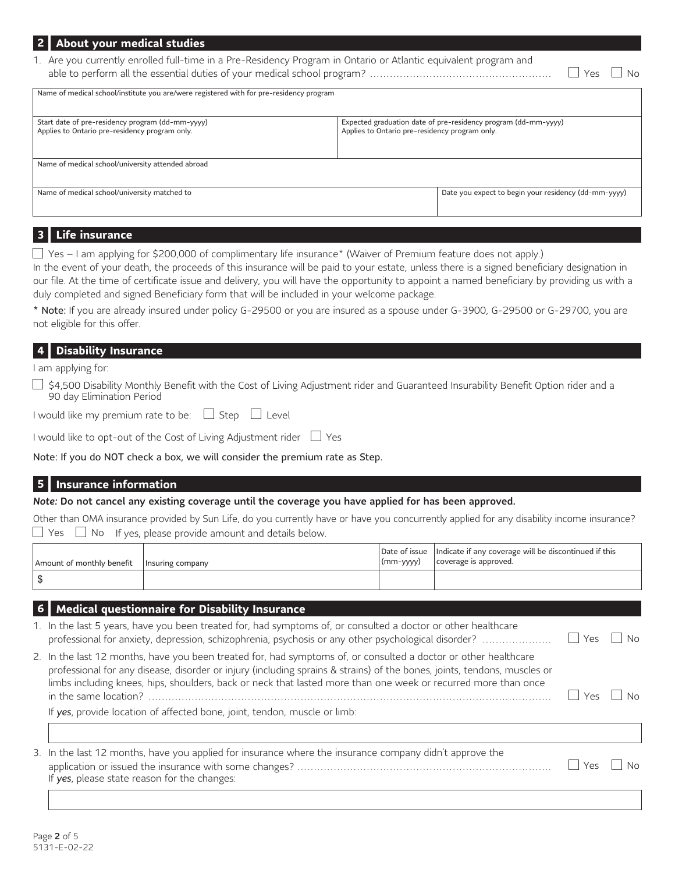| 2 About your medical studies                                                                                     |                                                |                                                                |                           |
|------------------------------------------------------------------------------------------------------------------|------------------------------------------------|----------------------------------------------------------------|---------------------------|
| 1. Are you currently enrolled full-time in a Pre-Residency Program in Ontario or Atlantic equivalent program and |                                                |                                                                | $\mathsf{I}$   Yes<br>∣No |
| Name of medical school/institute you are/were registered with for pre-residency program                          |                                                |                                                                |                           |
| Start date of pre-residency program (dd-mm-yyyy)<br>Applies to Ontario pre-residency program only.               | Applies to Ontario pre-residency program only. | Expected graduation date of pre-residency program (dd-mm-yyyy) |                           |
| Name of medical school/university attended abroad                                                                |                                                |                                                                |                           |
| Name of medical school/university matched to                                                                     |                                                | Date you expect to begin your residency (dd-mm-yyyy)           |                           |

# <span id="page-1-1"></span>**3 Life insurance**

 $\Box$  Yes – I am applying for \$200,000 of complimentary life insuranc[e\\*](#page-1-0) (Waiver of Premium feature does not apply.)

In the event of your death, the proceeds of this insurance will be paid to your estate, unless there is a signed beneficiary designation in our file. At the time of certificate issue and delivery, you will have the opportunity to appoint a named beneficiary by providing us with a duly completed and signed Beneficiary form that will be included in your welcome package.

<span id="page-1-0"></span>[\\*](#page-1-1) Note: If you are already insured under policy G-29500 or you are insured as a spouse under G-3900, G-29500 or G-29700, you are not eligible for this offer.

#### **4 Disability Insurance**

I am applying for:

□ \$4,500 Disability Monthly Benefit with the Cost of Living Adjustment rider and Guaranteed Insurability Benefit Option rider and a 90 day Elimination Period

|  |  | I would like my premium rate to be: |  | $\Box$ Step | l Level |
|--|--|-------------------------------------|--|-------------|---------|
|--|--|-------------------------------------|--|-------------|---------|

I would like to opt-out of the Cost of Living Adjustment rider  $\Box$  Yes

Note: If you do NOT check a box, we will consider the premium rate as Step.

### **5 Insurance information**

*Note:* Do not cancel any existing coverage until the coverage you have applied for has been approved.

Other than OMA insurance provided by Sun Life, do you currently have or have you concurrently applied for any disability income insurance?  $\Box$  Yes  $\Box$  No If yes, please provide amount and details below.

| Amount of monthly benefit   Insuring company | $\frac{1}{2}$ (mm-yyyy) | Date of issue   Indicate if any coverage will be discontinued if this<br>coverage is approved. |
|----------------------------------------------|-------------------------|------------------------------------------------------------------------------------------------|
|                                              |                         |                                                                                                |

#### **6 Medical questionnaire for Disability Insurance**

| 1. In the last 5 years, have you been treated for, had symptoms of, or consulted a doctor or other healthcare                                                                                                                                                                                                                                                 |          | N <sub>0</sub> |
|---------------------------------------------------------------------------------------------------------------------------------------------------------------------------------------------------------------------------------------------------------------------------------------------------------------------------------------------------------------|----------|----------------|
| 2. In the last 12 months, have you been treated for, had symptoms of, or consulted a doctor or other healthcare<br>professional for any disease, disorder or injury (including sprains & strains) of the bones, joints, tendons, muscles or<br>limbs including knees, hips, shoulders, back or neck that lasted more than one week or recurred more than once |          |                |
|                                                                                                                                                                                                                                                                                                                                                               | $Y_{PS}$ | No.            |
| $\mathbf{r}$ , the state $\mathbf{r}$ of $\mathbf{r}$ , the state $\mathbf{r}$ , the state $\mathbf{r}$ is the state of $\mathbf{r}$                                                                                                                                                                                                                          |          |                |

If *yes*, provide location of affected bone, joint, tendon, muscle or limb:

| 3. In the last 12 months, have you applied for insurance where the insurance company didn't approve the |                      |  |
|---------------------------------------------------------------------------------------------------------|----------------------|--|
|                                                                                                         | $\Box$ Yes $\Box$ No |  |
| If yes, please state reason for the changes:                                                            |                      |  |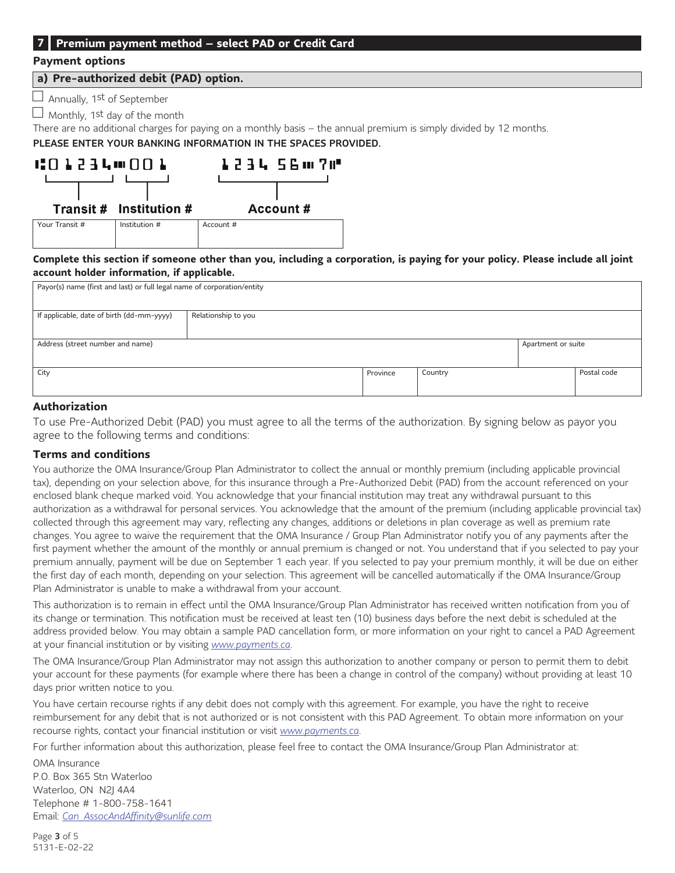### **7 Premium payment method – select PAD or Credit Card**

#### **Payment options**

#### **a) Pre-authorized debit (PAD) option.**

 $\Box$  Annually, 1st of September

 $\Box$  Monthly, 1<sup>st</sup> day of the month

There are no additional charges for paying on a monthly basis – the annual premium is simply divided by 12 months.

PLEASE ENTER YOUR BANKING INFORMATION IN THE SPACES PROVIDED.



Complete this section if someone other than you, including a corporation, is paying for your policy. Please include all joint **account holder information, if applicable.**

| Payor(s) name (first and last) or full legal name of corporation/entity |                     |          |         |                    |             |
|-------------------------------------------------------------------------|---------------------|----------|---------|--------------------|-------------|
| If applicable, date of birth (dd-mm-yyyy)                               | Relationship to you |          |         |                    |             |
| Address (street number and name)                                        |                     |          |         | Apartment or suite |             |
| City                                                                    |                     | Province | Country |                    | Postal code |
| _ _ _ _                                                                 |                     |          |         |                    |             |

### **Authorization**

To use Pre-Authorized Debit (PAD) you must agree to all the terms of the authorization. By signing below as payor you agree to the following terms and conditions:

#### **Terms and conditions**

You authorize the OMA Insurance/Group Plan Administrator to collect the annual or monthly premium (including applicable provincial tax), depending on your selection above, for this insurance through a Pre-Authorized Debit (PAD) from the account referenced on your enclosed blank cheque marked void. You acknowledge that your financial institution may treat any withdrawal pursuant to this authorization as a withdrawal for personal services. You acknowledge that the amount of the premium (including applicable provincial tax) collected through this agreement may vary, reflecting any changes, additions or deletions in plan coverage as well as premium rate changes. You agree to waive the requirement that the OMA Insurance / Group Plan Administrator notify you of any payments after the first payment whether the amount of the monthly or annual premium is changed or not. You understand that if you selected to pay your premium annually, payment will be due on September 1 each year. If you selected to pay your premium monthly, it will be due on either the first day of each month, depending on your selection. This agreement will be cancelled automatically if the OMA Insurance/Group Plan Administrator is unable to make a withdrawal from your account.

This authorization is to remain in effect until the OMA Insurance/Group Plan Administrator has received written notification from you of its change or termination. This notification must be received at least ten (10) business days before the next debit is scheduled at the address provided below. You may obtain a sample PAD cancellation form, or more information on your right to cancel a PAD Agreement at your financial institution or by visiting *[www.payments.ca](http://www.payments.ca)*.

The OMA Insurance/Group Plan Administrator may not assign this authorization to another company or person to permit them to debit your account for these payments (for example where there has been a change in control of the company) without providing at least 10 days prior written notice to you.

You have certain recourse rights if any debit does not comply with this agreement. For example, you have the right to receive reimbursement for any debit that is not authorized or is not consistent with this PAD Agreement. To obtain more information on your recourse rights, contact your financial institution or visit *[www.payments.ca](http://www.payments.ca)*.

For further information about this authorization, please feel free to contact the OMA Insurance/Group Plan Administrator at:

OMA Insurance P.O. Box 365 Stn Waterloo Waterloo, ON N2J 4A4 Telephone # 1-800-758-1641 Email: *[Can\\_AssocAndAffinity@sunlife.com](mailto:Can_AssocAndAffinity@sunlife.com)*

Page 3 of 5 5131-E-02-22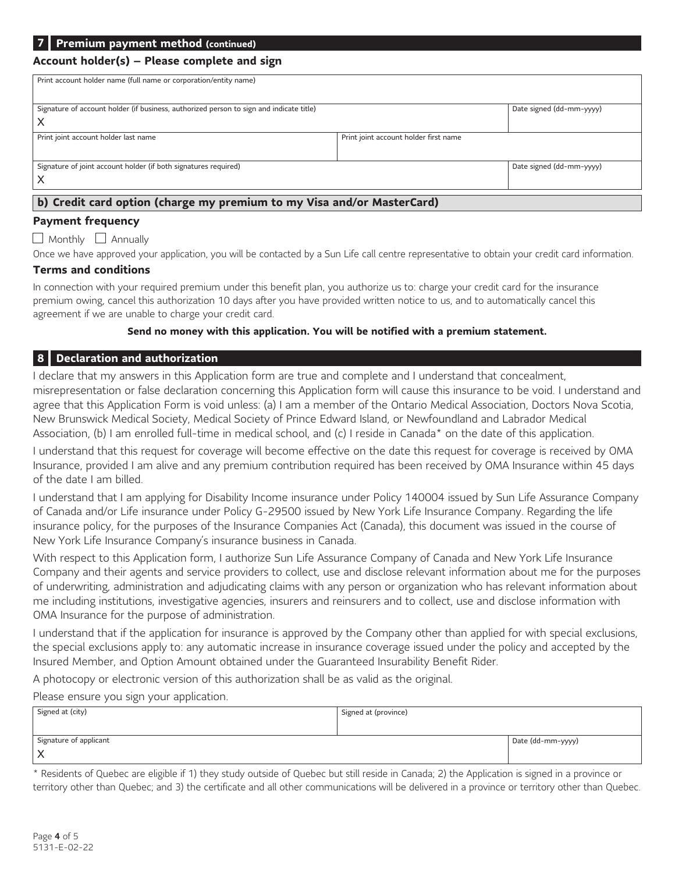# **Account holder(s) – Please complete and sign**

| Print account holder name (full name or corporation/entity name)                                                         |  |  |  |  |  |
|--------------------------------------------------------------------------------------------------------------------------|--|--|--|--|--|
| Signature of account holder (if business, authorized person to sign and indicate title)<br>Date signed (dd-mm-yyyy)<br>X |  |  |  |  |  |
| Print joint account holder last name<br>Print joint account holder first name                                            |  |  |  |  |  |
| Date signed (dd-mm-yyyy)<br>Signature of joint account holder (if both signatures required)                              |  |  |  |  |  |
| b) Credit card option (charge my premium to my Visa and/or MasterCard)                                                   |  |  |  |  |  |

## **Payment frequency**

 $\Box$  Monthly  $\Box$  Annually

Once we have approved your application, you will be contacted by a Sun Life call centre representative to obtain your credit card information.

### **Terms and conditions**

In connection with your required premium under this benefit plan, you authorize us to: charge your credit card for the insurance premium owing, cancel this authorization 10 days after you have provided written notice to us, and to automatically cancel this agreement if we are unable to charge your credit card.

#### <span id="page-3-1"></span>**Send no money with this application. You will be notified with a premium statement.**

## **8 Declaration and authorization**

I declare that my answers in this Application form are true and complete and I understand that concealment, misrepresentation or false declaration concerning this Application form will cause this insurance to be void. I understand and agree that this Application Form is void unless: (a) I am a member of the Ontario Medical Association, Doctors Nova Scotia, New Brunswick Medical Society, Medical Society of Prince Edward Island, or Newfoundland and Labrador Medical Association, (b) I am enrolled full-time in medical school, and (c) I reside in Canada[\\*](#page-3-0) on the date of this application.

I understand that this request for coverage will become effective on the date this request for coverage is received by OMA Insurance, provided I am alive and any premium contribution required has been received by OMA Insurance within 45 days of the date I am billed.

I understand that I am applying for Disability Income insurance under Policy 140004 issued by Sun Life Assurance Company of Canada and/or Life insurance under Policy G-29500 issued by New York Life Insurance Company. Regarding the life insurance policy, for the purposes of the Insurance Companies Act (Canada), this document was issued in the course of New York Life Insurance Company's insurance business in Canada.

With respect to this Application form, I authorize Sun Life Assurance Company of Canada and New York Life Insurance Company and their agents and service providers to collect, use and disclose relevant information about me for the purposes of underwriting, administration and adjudicating claims with any person or organization who has relevant information about me including institutions, investigative agencies, insurers and reinsurers and to collect, use and disclose information with OMA Insurance for the purpose of administration.

I understand that if the application for insurance is approved by the Company other than applied for with special exclusions, the special exclusions apply to: any automatic increase in insurance coverage issued under the policy and accepted by the Insured Member, and Option Amount obtained under the Guaranteed Insurability Benefit Rider.

A photocopy or electronic version of this authorization shall be as valid as the original.

Please ensure you sign your application.

| Signed at (city)       | Signed at (province) |                   |
|------------------------|----------------------|-------------------|
|                        |                      |                   |
| Signature of applicant |                      | Date (dd-mm-yyyy) |
| ⌒                      |                      |                   |

<span id="page-3-0"></span>[\\*](#page-3-1) Residents of Quebec are eligible if 1) they study outside of Quebec but still reside in Canada; 2) the Application is signed in a province or territory other than Quebec; and 3) the certificate and all other communications will be delivered in a province or territory other than Quebec.